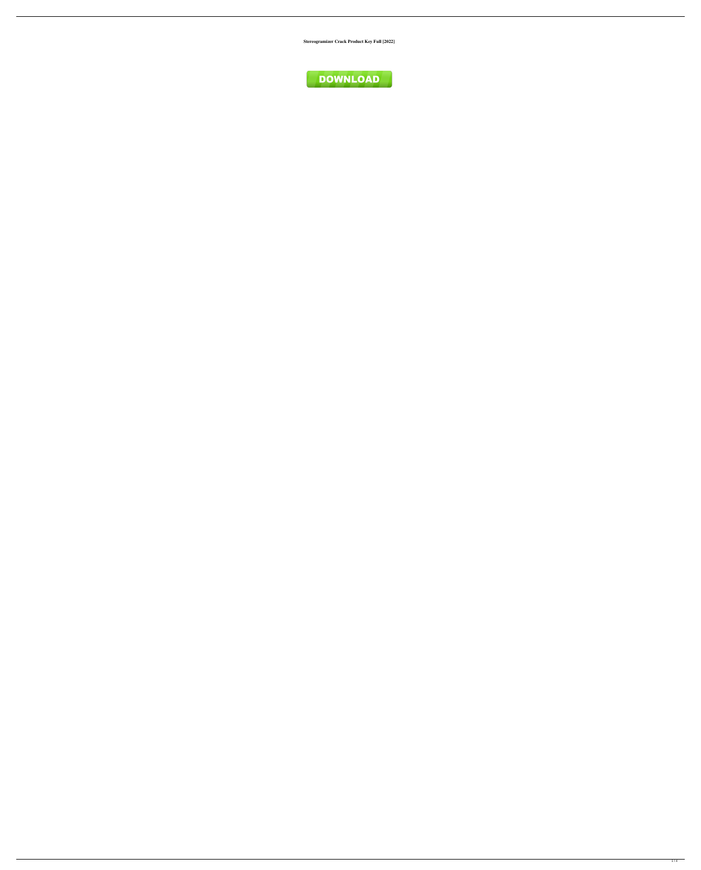**Stereogramizer Crack Product Key Full [2022]**

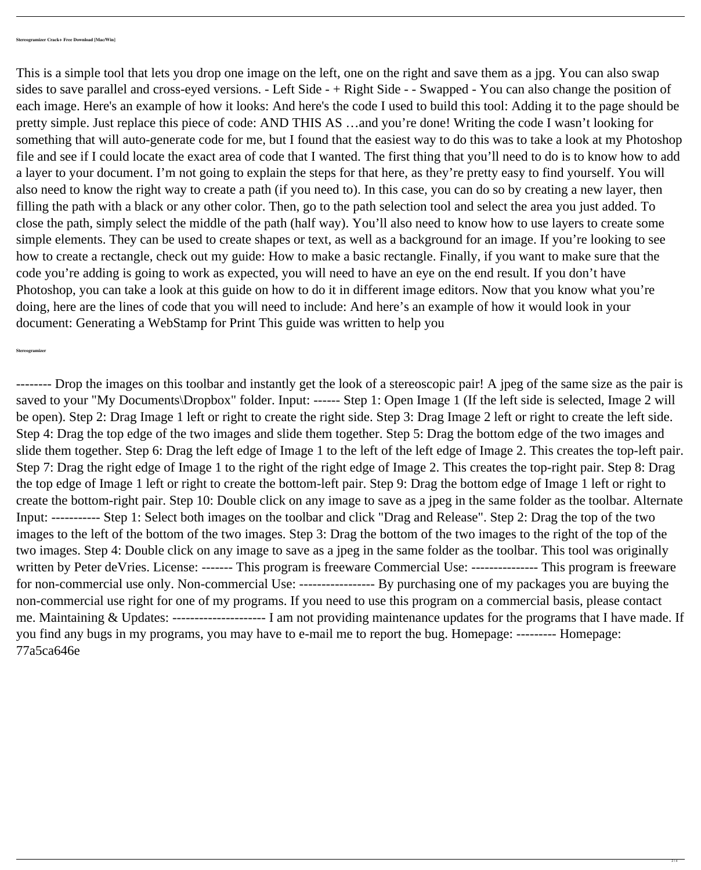This is a simple tool that lets you drop one image on the left, one on the right and save them as a jpg. You can also swap sides to save parallel and cross-eyed versions. - Left Side - + Right Side - - Swapped - You can also change the position of each image. Here's an example of how it looks: And here's the code I used to build this tool: Adding it to the page should be pretty simple. Just replace this piece of code: AND THIS AS …and you're done! Writing the code I wasn't looking for something that will auto-generate code for me, but I found that the easiest way to do this was to take a look at my Photoshop file and see if I could locate the exact area of code that I wanted. The first thing that you'll need to do is to know how to add a layer to your document. I'm not going to explain the steps for that here, as they're pretty easy to find yourself. You will also need to know the right way to create a path (if you need to). In this case, you can do so by creating a new layer, then filling the path with a black or any other color. Then, go to the path selection tool and select the area you just added. To close the path, simply select the middle of the path (half way). You'll also need to know how to use layers to create some simple elements. They can be used to create shapes or text, as well as a background for an image. If you're looking to see how to create a rectangle, check out my guide: How to make a basic rectangle. Finally, if you want to make sure that the code you're adding is going to work as expected, you will need to have an eye on the end result. If you don't have Photoshop, you can take a look at this guide on how to do it in different image editors. Now that you know what you're doing, here are the lines of code that you will need to include: And here's an example of how it would look in your document: Generating a WebStamp for Print This guide was written to help you

-------- Drop the images on this toolbar and instantly get the look of a stereoscopic pair! A jpeg of the same size as the pair is saved to your "My Documents\Dropbox" folder. Input: ------ Step 1: Open Image 1 (If the left side is selected, Image 2 will be open). Step 2: Drag Image 1 left or right to create the right side. Step 3: Drag Image 2 left or right to create the left side. Step 4: Drag the top edge of the two images and slide them together. Step 5: Drag the bottom edge of the two images and slide them together. Step 6: Drag the left edge of Image 1 to the left of the left edge of Image 2. This creates the top-left pair. Step 7: Drag the right edge of Image 1 to the right of the right edge of Image 2. This creates the top-right pair. Step 8: Drag the top edge of Image 1 left or right to create the bottom-left pair. Step 9: Drag the bottom edge of Image 1 left or right to create the bottom-right pair. Step 10: Double click on any image to save as a jpeg in the same folder as the toolbar. Alternate Input: ----------- Step 1: Select both images on the toolbar and click "Drag and Release". Step 2: Drag the top of the two images to the left of the bottom of the two images. Step 3: Drag the bottom of the two images to the right of the top of the two images. Step 4: Double click on any image to save as a jpeg in the same folder as the toolbar. This tool was originally written by Peter deVries. License: ------ This program is freeware Commercial Use: -------------- This program is freeware for non-commercial use only. Non-commercial Use: ------------------- By purchasing one of my packages you are buying the non-commercial use right for one of my programs. If you need to use this program on a commercial basis, please contact me. Maintaining & Updates: --------------------- I am not providing maintenance updates for the programs that I have made. If you find any bugs in my programs, you may have to e-mail me to report the bug. Homepage: --------- Homepage: 77a5ca646e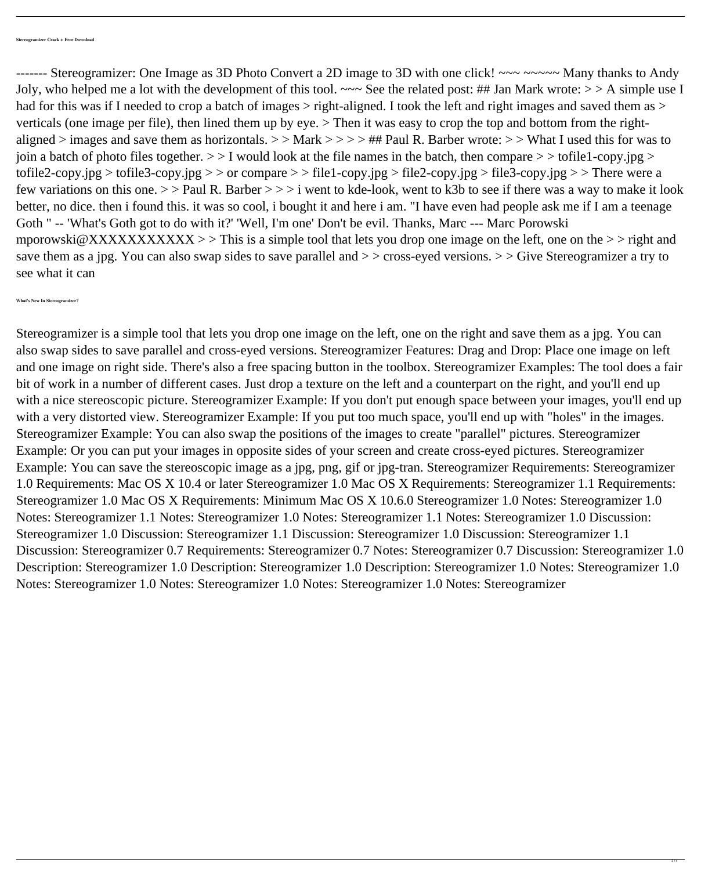------- Stereogramizer: One Image as 3D Photo Convert a 2D image to 3D with one click! ~~~ ~~~~~ Many thanks to Andy Joly, who helped me a lot with the development of this tool.  $\sim \sim$  See the related post: ## Jan Mark wrote:  $>$  > A simple use I had for this was if I needed to crop a batch of images  $>$  right-aligned. I took the left and right images and saved them as  $>$ verticals (one image per file), then lined them up by eye. > Then it was easy to crop the top and bottom from the rightaligned > images and save them as horizontals. > > Mark > > > > ## Paul R. Barber wrote: > > What I used this for was to join a batch of photo files together.  $>1$  would look at the file names in the batch, then compare  $>$  > tofile1-copy.jpg > tofile2-copy.jpg > tofile3-copy.jpg > > or compare > > file1-copy.jpg > file2-copy.jpg > file3-copy.jpg > > There were a few variations on this one.  $>$  > Paul R. Barber  $>>$  i went to kde-look, went to k3b to see if there was a way to make it look better, no dice. then i found this. it was so cool, i bought it and here i am. "I have even had people ask me if I am a teenage Goth " -- 'What's Goth got to do with it?' 'Well, I'm one' Don't be evil. Thanks, Marc --- Marc Porowski mporowski@XXXXXXXXXXXX >> This is a simple tool that lets you drop one image on the left, one on the >> right and save them as a jpg. You can also swap sides to save parallel and  $\geq$  > cross-eyed versions.  $\geq$  Sive Stereogramizer a try to see what it can

**What's New In Stereogramizer?**

Stereogramizer is a simple tool that lets you drop one image on the left, one on the right and save them as a jpg. You can

also swap sides to save parallel and cross-eyed versions. Stereogramizer Features: Drag and Drop: Place one image on left and one image on right side. There's also a free spacing button in the toolbox. Stereogramizer Examples: The tool does a fair bit of work in a number of different cases. Just drop a texture on the left and a counterpart on the right, and you'll end up with a nice stereoscopic picture. Stereogramizer Example: If you don't put enough space between your images, you'll end up with a very distorted view. Stereogramizer Example: If you put too much space, you'll end up with "holes" in the images. Stereogramizer Example: You can also swap the positions of the images to create "parallel" pictures. Stereogramizer Example: Or you can put your images in opposite sides of your screen and create cross-eyed pictures. Stereogramizer Example: You can save the stereoscopic image as a jpg, png, gif or jpg-tran. Stereogramizer Requirements: Stereogramizer 1.0 Requirements: Mac OS X 10.4 or later Stereogramizer 1.0 Mac OS X Requirements: Stereogramizer 1.1 Requirements: Stereogramizer 1.0 Mac OS X Requirements: Minimum Mac OS X 10.6.0 Stereogramizer 1.0 Notes: Stereogramizer 1.0 Notes: Stereogramizer 1.1 Notes: Stereogramizer 1.0 Notes: Stereogramizer 1.1 Notes: Stereogramizer 1.0 Discussion: Stereogramizer 1.0 Discussion: Stereogramizer 1.1 Discussion: Stereogramizer 1.0 Discussion: Stereogramizer 1.1 Discussion: Stereogramizer 0.7 Requirements: Stereogramizer 0.7 Notes: Stereogramizer 0.7 Discussion: Stereogramizer 1.0 Description: Stereogramizer 1.0 Description: Stereogramizer 1.0 Description: Stereogramizer 1.0 Notes: Stereogramizer 1.0 Notes: Stereogramizer 1.0 Notes: Stereogramizer 1.0 Notes: Stereogramizer 1.0 Notes: Stereogramizer